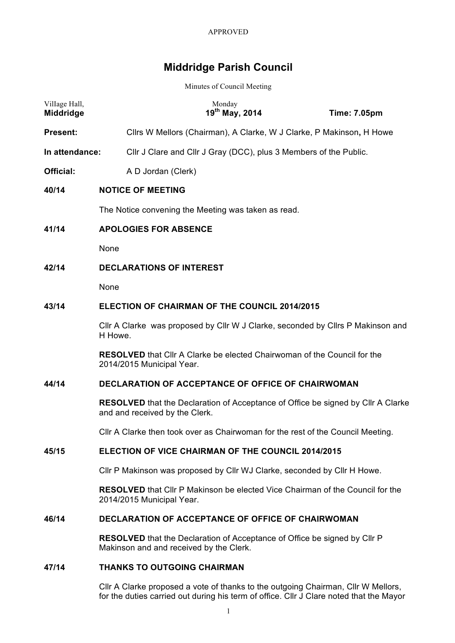# **Middridge Parish Council**

Minutes of Council Meeting

| Village Hall,<br><b>Middridge</b> |                                                                                            |                                                                   | Monday<br>19th May, 2014 | <b>Time: 7.05pm</b>                                                                     |  |  |
|-----------------------------------|--------------------------------------------------------------------------------------------|-------------------------------------------------------------------|--------------------------|-----------------------------------------------------------------------------------------|--|--|
| <b>Present:</b>                   |                                                                                            |                                                                   |                          | Cllrs W Mellors (Chairman), A Clarke, W J Clarke, P Makinson, H Howe                    |  |  |
| In attendance:                    |                                                                                            | Cllr J Clare and Cllr J Gray (DCC), plus 3 Members of the Public. |                          |                                                                                         |  |  |
| <b>Official:</b>                  |                                                                                            | A D Jordan (Clerk)                                                |                          |                                                                                         |  |  |
| 40/14                             |                                                                                            | <b>NOTICE OF MEETING</b>                                          |                          |                                                                                         |  |  |
|                                   | The Notice convening the Meeting was taken as read.                                        |                                                                   |                          |                                                                                         |  |  |
| 41/14                             | <b>APOLOGIES FOR ABSENCE</b>                                                               |                                                                   |                          |                                                                                         |  |  |
|                                   | None                                                                                       |                                                                   |                          |                                                                                         |  |  |
| 42/14                             | <b>DECLARATIONS OF INTEREST</b>                                                            |                                                                   |                          |                                                                                         |  |  |
|                                   | None                                                                                       |                                                                   |                          |                                                                                         |  |  |
| 43/14                             | <b>ELECTION OF CHAIRMAN OF THE COUNCIL 2014/2015</b>                                       |                                                                   |                          |                                                                                         |  |  |
|                                   | CIIr A Clarke was proposed by CIIr W J Clarke, seconded by CIIrs P Makinson and<br>H Howe. |                                                                   |                          |                                                                                         |  |  |
|                                   |                                                                                            | 2014/2015 Municipal Year.                                         |                          | <b>RESOLVED</b> that Cllr A Clarke be elected Chairwoman of the Council for the         |  |  |
| 44/14                             | <b>DECLARATION OF ACCEPTANCE OF OFFICE OF CHAIRWOMAN</b>                                   |                                                                   |                          |                                                                                         |  |  |
|                                   |                                                                                            | and and received by the Clerk.                                    |                          | <b>RESOLVED</b> that the Declaration of Acceptance of Office be signed by Cllr A Clarke |  |  |
|                                   |                                                                                            |                                                                   |                          | CIIr A Clarke then took over as Chairwoman for the rest of the Council Meeting.         |  |  |
| 45/15                             | ELECTION OF VICE CHAIRMAN OF THE COUNCIL 2014/2015                                         |                                                                   |                          |                                                                                         |  |  |
|                                   |                                                                                            |                                                                   |                          | CIIr P Makinson was proposed by CIIr WJ Clarke, seconded by CIIr H Howe.                |  |  |
|                                   |                                                                                            | 2014/2015 Municipal Year.                                         |                          | <b>RESOLVED</b> that CIIr P Makinson be elected Vice Chairman of the Council for the    |  |  |
| 46/14                             |                                                                                            | <b>DECLARATION OF ACCEPTANCE OF OFFICE OF CHAIRWOMAN</b>          |                          |                                                                                         |  |  |
|                                   |                                                                                            | Makinson and and received by the Clerk.                           |                          | <b>RESOLVED</b> that the Declaration of Acceptance of Office be signed by Cllr P        |  |  |
| 47/14                             |                                                                                            | <b>THANKS TO OUTGOING CHAIRMAN</b>                                |                          |                                                                                         |  |  |

Cllr A Clarke proposed a vote of thanks to the outgoing Chairman, Cllr W Mellors, for the duties carried out during his term of office. Cllr J Clare noted that the Mayor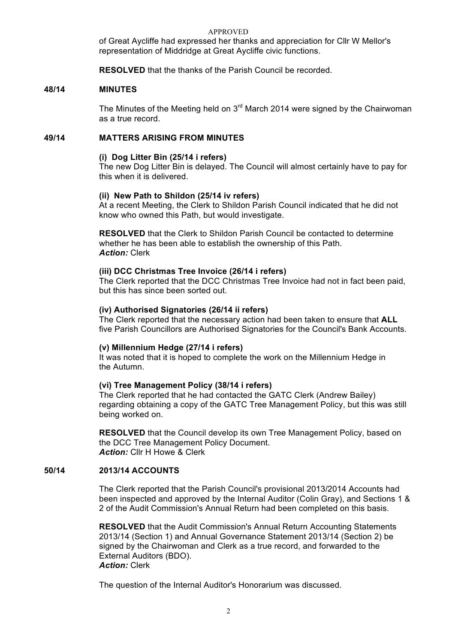of Great Aycliffe had expressed her thanks and appreciation for Cllr W Mellor's representation of Middridge at Great Aycliffe civic functions.

**RESOLVED** that the thanks of the Parish Council be recorded.

## **48/14 MINUTES**

The Minutes of the Meeting held on  $3<sup>rd</sup>$  March 2014 were signed by the Chairwoman as a true record.

## **49/14 MATTERS ARISING FROM MINUTES**

#### **(i) Dog Litter Bin (25/14 i refers)**

The new Dog Litter Bin is delayed. The Council will almost certainly have to pay for this when it is delivered.

#### **(ii) New Path to Shildon (25/14 iv refers)**

At a recent Meeting, the Clerk to Shildon Parish Council indicated that he did not know who owned this Path, but would investigate.

**RESOLVED** that the Clerk to Shildon Parish Council be contacted to determine whether he has been able to establish the ownership of this Path. *Action:* Clerk

#### **(iii) DCC Christmas Tree Invoice (26/14 i refers)**

The Clerk reported that the DCC Christmas Tree Invoice had not in fact been paid, but this has since been sorted out.

#### **(iv) Authorised Signatories (26/14 ii refers)**

The Clerk reported that the necessary action had been taken to ensure that **ALL** five Parish Councillors are Authorised Signatories for the Council's Bank Accounts.

## **(v) Millennium Hedge (27/14 i refers)**

It was noted that it is hoped to complete the work on the Millennium Hedge in the Autumn.

## **(vi) Tree Management Policy (38/14 i refers)**

The Clerk reported that he had contacted the GATC Clerk (Andrew Bailey) regarding obtaining a copy of the GATC Tree Management Policy, but this was still being worked on.

**RESOLVED** that the Council develop its own Tree Management Policy, based on the DCC Tree Management Policy Document. *Action:* Cllr H Howe & Clerk

#### **50/14 2013/14 ACCOUNTS**

The Clerk reported that the Parish Council's provisional 2013/2014 Accounts had been inspected and approved by the Internal Auditor (Colin Gray), and Sections 1 & 2 of the Audit Commission's Annual Return had been completed on this basis.

**RESOLVED** that the Audit Commission's Annual Return Accounting Statements 2013/14 (Section 1) and Annual Governance Statement 2013/14 (Section 2) be signed by the Chairwoman and Clerk as a true record, and forwarded to the External Auditors (BDO). *Action:* Clerk

The question of the Internal Auditor's Honorarium was discussed.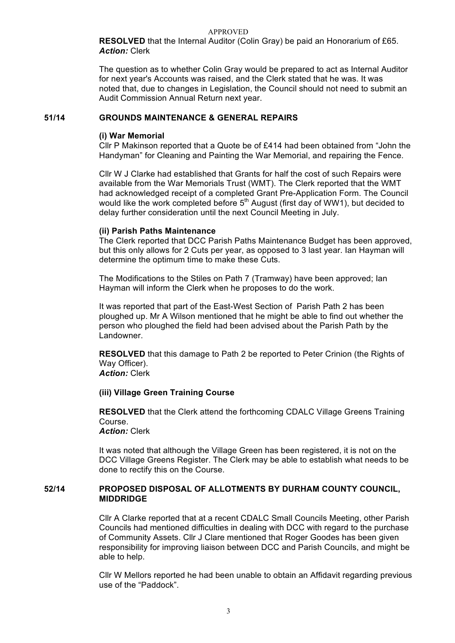**RESOLVED** that the Internal Auditor (Colin Gray) be paid an Honorarium of £65. *Action:* Clerk

The question as to whether Colin Gray would be prepared to act as Internal Auditor for next year's Accounts was raised, and the Clerk stated that he was. It was noted that, due to changes in Legislation, the Council should not need to submit an Audit Commission Annual Return next year.

## **51/14 GROUNDS MAINTENANCE & GENERAL REPAIRS**

## **(i) War Memorial**

Cllr P Makinson reported that a Quote be of £414 had been obtained from "John the Handyman" for Cleaning and Painting the War Memorial, and repairing the Fence.

Cllr W J Clarke had established that Grants for half the cost of such Repairs were available from the War Memorials Trust (WMT). The Clerk reported that the WMT had acknowledged receipt of a completed Grant Pre-Application Form. The Council would like the work completed before 5<sup>th</sup> August (first day of WW1), but decided to delay further consideration until the next Council Meeting in July.

## **(ii) Parish Paths Maintenance**

The Clerk reported that DCC Parish Paths Maintenance Budget has been approved, but this only allows for 2 Cuts per year, as opposed to 3 last year. Ian Hayman will determine the optimum time to make these Cuts.

The Modifications to the Stiles on Path 7 (Tramway) have been approved; Ian Hayman will inform the Clerk when he proposes to do the work.

It was reported that part of the East-West Section of Parish Path 2 has been ploughed up. Mr A Wilson mentioned that he might be able to find out whether the person who ploughed the field had been advised about the Parish Path by the Landowner.

**RESOLVED** that this damage to Path 2 be reported to Peter Crinion (the Rights of Way Officer).

*Action:* Clerk

# **(iii) Village Green Training Course**

**RESOLVED** that the Clerk attend the forthcoming CDALC Village Greens Training Course.

# *Action:* Clerk

It was noted that although the Village Green has been registered, it is not on the DCC Village Greens Register. The Clerk may be able to establish what needs to be done to rectify this on the Course.

## **52/14 PROPOSED DISPOSAL OF ALLOTMENTS BY DURHAM COUNTY COUNCIL, MIDDRIDGE**

Cllr A Clarke reported that at a recent CDALC Small Councils Meeting, other Parish Councils had mentioned difficulties in dealing with DCC with regard to the purchase of Community Assets. Cllr J Clare mentioned that Roger Goodes has been given responsibility for improving liaison between DCC and Parish Councils, and might be able to help.

Cllr W Mellors reported he had been unable to obtain an Affidavit regarding previous use of the "Paddock".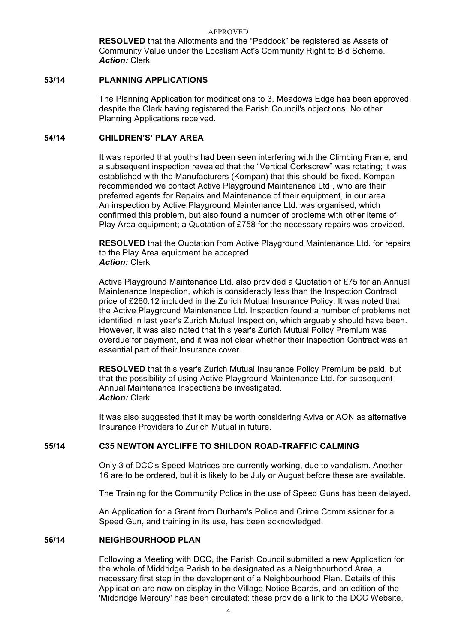**RESOLVED** that the Allotments and the "Paddock" be registered as Assets of Community Value under the Localism Act's Community Right to Bid Scheme. *Action:* Clerk

# **53/14 PLANNING APPLICATIONS**

The Planning Application for modifications to 3, Meadows Edge has been approved, despite the Clerk having registered the Parish Council's objections. No other Planning Applications received.

## **54/14 CHILDREN'S' PLAY AREA**

It was reported that youths had been seen interfering with the Climbing Frame, and a subsequent inspection revealed that the "Vertical Corkscrew" was rotating; it was established with the Manufacturers (Kompan) that this should be fixed. Kompan recommended we contact Active Playground Maintenance Ltd., who are their preferred agents for Repairs and Maintenance of their equipment, in our area. An inspection by Active Playground Maintenance Ltd. was organised, which confirmed this problem, but also found a number of problems with other items of Play Area equipment; a Quotation of £758 for the necessary repairs was provided.

**RESOLVED** that the Quotation from Active Playground Maintenance Ltd. for repairs to the Play Area equipment be accepted. *Action:* Clerk

Active Playground Maintenance Ltd. also provided a Quotation of £75 for an Annual Maintenance Inspection, which is considerably less than the Inspection Contract price of £260.12 included in the Zurich Mutual Insurance Policy. It was noted that the Active Playground Maintenance Ltd. Inspection found a number of problems not identified in last year's Zurich Mutual Inspection, which arguably should have been. However, it was also noted that this year's Zurich Mutual Policy Premium was overdue for payment, and it was not clear whether their Inspection Contract was an essential part of their Insurance cover.

 **RESOLVED** that this year's Zurich Mutual Insurance Policy Premium be paid, but that the possibility of using Active Playground Maintenance Ltd. for subsequent Annual Maintenance Inspections be investigated. *Action:* Clerk

It was also suggested that it may be worth considering Aviva or AON as alternative Insurance Providers to Zurich Mutual in future.

## **55/14 C35 NEWTON AYCLIFFE TO SHILDON ROAD-TRAFFIC CALMING**

Only 3 of DCC's Speed Matrices are currently working, due to vandalism. Another 16 are to be ordered, but it is likely to be July or August before these are available.

The Training for the Community Police in the use of Speed Guns has been delayed.

An Application for a Grant from Durham's Police and Crime Commissioner for a Speed Gun, and training in its use, has been acknowledged.

## **56/14 NEIGHBOURHOOD PLAN**

Following a Meeting with DCC, the Parish Council submitted a new Application for the whole of Middridge Parish to be designated as a Neighbourhood Area, a necessary first step in the development of a Neighbourhood Plan. Details of this Application are now on display in the Village Notice Boards, and an edition of the 'Middridge Mercury' has been circulated; these provide a link to the DCC Website,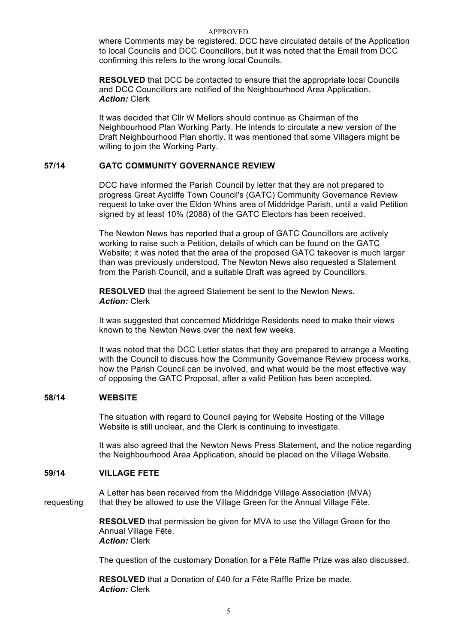where Comments may be registered. DCC have circulated details of the Application to local Councils and DCC Councillors, but it was noted that the Email from DCC confirming this refers to the wrong local Councils.

**RESOLVED** that DCC be contacted to ensure that the appropriate local Councils and DCC Councillors are notified of the Neighbourhood Area Application. *Action:* Clerk

It was decided that Cllr W Mellors should continue as Chairman of the Neighbourhood Plan Working Party. He intends to circulate a new version of the Draft Neighbourhood Plan shortly. It was mentioned that some Villagers might be willing to join the Working Party.

# **57/14 GATC COMMUNITY GOVERNANCE REVIEW**

DCC have informed the Parish Council by letter that they are not prepared to progress Great Aycliffe Town Council's (GATC) Community Governance Review request to take over the Eldon Whins area of Middridge Parish, until a valid Petition signed by at least 10% (2088) of the GATC Electors has been received.

The Newton News has reported that a group of GATC Councillors are actively working to raise such a Petition, details of which can be found on the GATC Website; it was noted that the area of the proposed GATC takeover is much larger than was previously understood. The Newton News also requested a Statement from the Parish Council, and a suitable Draft was agreed by Councillors.

**RESOLVED** that the agreed Statement be sent to the Newton News. *Action:* Clerk

It was suggested that concerned Middridge Residents need to make their views known to the Newton News over the next few weeks.

It was noted that the DCC Letter states that they are prepared to arrange a Meeting with the Council to discuss how the Community Governance Review process works, how the Parish Council can be involved, and what would be the most effective way of opposing the GATC Proposal, after a valid Petition has been accepted.

## **58/14 WEBSITE**

The situation with regard to Council paying for Website Hosting of the Village Website is still unclear, and the Clerk is continuing to investigate.

 It was also agreed that the Newton News Press Statement, and the notice regarding the Neighbourhood Area Application, should be placed on the Village Website.

# **59/14 VILLAGE FETE**

A Letter has been received from the Middridge Village Association (MVA) requesting that they be allowed to use the Village Green for the Annual Village Fête.

> **RESOLVED** that permission be given for MVA to use the Village Green for the Annual Village Fête. *Action:* Clerk

The question of the customary Donation for a Fête Raffle Prize was also discussed.

**RESOLVED** that a Donation of £40 for a Fête Raffle Prize be made. *Action:* Clerk